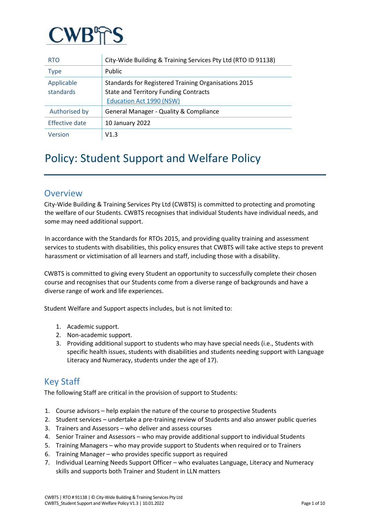

| <b>RTO</b>              | City-Wide Building & Training Services Pty Ltd (RTO ID 91138)                                                                           |
|-------------------------|-----------------------------------------------------------------------------------------------------------------------------------------|
| <b>Type</b>             | Public                                                                                                                                  |
| Applicable<br>standards | Standards for Registered Training Organisations 2015<br><b>State and Territory Funding Contracts</b><br><b>Education Act 1990 (NSW)</b> |
| Authorised by           | General Manager - Quality & Compliance                                                                                                  |
| Effective date          | 10 January 2022                                                                                                                         |
| Version                 | V1.3                                                                                                                                    |

# Policy: Student Support and Welfare Policy

# **Overview**

City-Wide Building & Training Services Pty Ltd (CWBTS) is committed to protecting and promoting the welfare of our Students. CWBTS recognises that individual Students have individual needs, and some may need additional support.

In accordance with the Standards for RTOs 2015, and providing quality training and assessment services to students with disabilities, this policy ensures that CWBTS will take active steps to prevent harassment or victimisation of all learners and staff, including those with a disability.

CWBTS is committed to giving every Student an opportunity to successfully complete their chosen course and recognises that our Students come from a diverse range of backgrounds and have a diverse range of work and life experiences.

Student Welfare and Support aspects includes, but is not limited to:

- 1. Academic support.
- 2. Non-academic support.
- 3. Providing additional support to students who may have special needs (i.e., Students with specific health issues, students with disabilities and students needing support with Language Literacy and Numeracy, students under the age of 17).

# Key Staff

The following Staff are critical in the provision of support to Students:

- 1. Course advisors help explain the nature of the course to prospective Students
- 2. Student services undertake a pre-training review of Students and also answer public queries
- 3. Trainers and Assessors who deliver and assess courses
- 4. Senior Trainer and Assessors who may provide additional support to individual Students
- 5. Training Managers who may provide support to Students when required or to Trainers
- 6. Training Manager who provides specific support as required
- 7. Individual Learning Needs Support Officer who evaluates Language, Literacy and Numeracy skills and supports both Trainer and Student in LLN matters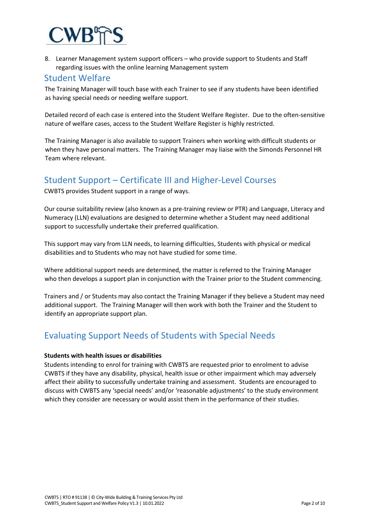

8. Learner Management system support officers – who provide support to Students and Staff regarding issues with the online learning Management system

## Student Welfare

The Training Manager will touch base with each Trainer to see if any students have been identified as having special needs or needing welfare support.

Detailed record of each case is entered into the Student Welfare Register. Due to the often-sensitive nature of welfare cases, access to the Student Welfare Register is highly restricted.

The Training Manager is also available to support Trainers when working with difficult students or when they have personal matters. The Training Manager may liaise with the Simonds Personnel HR Team where relevant.

# Student Support – Certificate III and Higher-Level Courses

CWBTS provides Student support in a range of ways.

Our course suitability review (also known as a pre-training review or PTR) and Language, Literacy and Numeracy (LLN) evaluations are designed to determine whether a Student may need additional support to successfully undertake their preferred qualification.

This support may vary from LLN needs, to learning difficulties, Students with physical or medical disabilities and to Students who may not have studied for some time.

Where additional support needs are determined, the matter is referred to the Training Manager who then develops a support plan in conjunction with the Trainer prior to the Student commencing.

Trainers and / or Students may also contact the Training Manager if they believe a Student may need additional support. The Training Manager will then work with both the Trainer and the Student to identify an appropriate support plan.

# Evaluating Support Needs of Students with Special Needs

### **Students with health issues or disabilities**

Students intending to enrol for training with CWBTS are requested prior to enrolment to advise CWBTS if they have any disability, physical, health issue or other impairment which may adversely affect their ability to successfully undertake training and assessment. Students are encouraged to discuss with CWBTS any 'special needs' and/or 'reasonable adjustments' to the study environment which they consider are necessary or would assist them in the performance of their studies.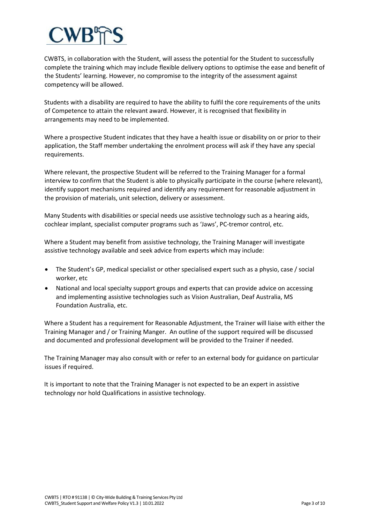CWBTS, in collaboration with the Student, will assess the potential for the Student to successfully complete the training which may include flexible delivery options to optimise the ease and benefit of the Students' learning. However, no compromise to the integrity of the assessment against competency will be allowed.

Students with a disability are required to have the ability to fulfil the core requirements of the units of Competence to attain the relevant award. However, it is recognised that flexibility in arrangements may need to be implemented.

Where a prospective Student indicates that they have a health issue or disability on or prior to their application, the Staff member undertaking the enrolment process will ask if they have any special requirements.

Where relevant, the prospective Student will be referred to the Training Manager for a formal interview to confirm that the Student is able to physically participate in the course (where relevant), identify support mechanisms required and identify any requirement for reasonable adjustment in the provision of materials, unit selection, delivery or assessment.

Many Students with disabilities or special needs use assistive technology such as a hearing aids, cochlear implant, specialist computer programs such as 'Jaws', PC-tremor control, etc.

Where a Student may benefit from assistive technology, the Training Manager will investigate assistive technology available and seek advice from experts which may include:

- The Student's GP, medical specialist or other specialised expert such as a physio, case / social worker, etc
- National and local specialty support groups and experts that can provide advice on accessing and implementing assistive technologies such as Vision Australian, Deaf Australia, MS Foundation Australia, etc.

Where a Student has a requirement for Reasonable Adjustment, the Trainer will liaise with either the Training Manager and / or Training Manger. An outline of the support required will be discussed and documented and professional development will be provided to the Trainer if needed.

The Training Manager may also consult with or refer to an external body for guidance on particular issues if required.

It is important to note that the Training Manager is not expected to be an expert in assistive technology nor hold Qualifications in assistive technology.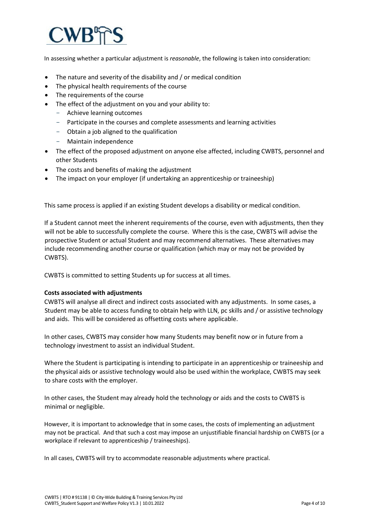

In assessing whether a particular adjustment is *reasonable*, the following is taken into consideration:

- The nature and severity of the disability and / or medical condition
- The physical health requirements of the course
- The requirements of the course
- The effect of the adjustment on you and your ability to:
	- Achieve learning outcomes
	- Participate in the courses and complete assessments and learning activities
	- Obtain a job aligned to the qualification
	- Maintain independence
- The effect of the proposed adjustment on anyone else affected, including CWBTS, personnel and other Students
- The costs and benefits of making the adjustment
- The impact on your employer (if undertaking an apprenticeship or traineeship)

This same process is applied if an existing Student develops a disability or medical condition.

If a Student cannot meet the inherent requirements of the course, even with adjustments, then they will not be able to successfully complete the course. Where this is the case, CWBTS will advise the prospective Student or actual Student and may recommend alternatives. These alternatives may include recommending another course or qualification (which may or may not be provided by CWBTS).

CWBTS is committed to setting Students up for success at all times.

### **Costs associated with adjustments**

CWBTS will analyse all direct and indirect costs associated with any adjustments. In some cases, a Student may be able to access funding to obtain help with LLN, pc skills and / or assistive technology and aids. This will be considered as offsetting costs where applicable.

In other cases, CWBTS may consider how many Students may benefit now or in future from a technology investment to assist an individual Student.

Where the Student is participating is intending to participate in an apprenticeship or traineeship and the physical aids or assistive technology would also be used within the workplace, CWBTS may seek to share costs with the employer.

In other cases, the Student may already hold the technology or aids and the costs to CWBTS is minimal or negligible.

However, it is important to acknowledge that in some cases, the costs of implementing an adjustment may not be practical. And that such a cost may impose an unjustifiable financial hardship on CWBTS (or a workplace if relevant to apprenticeship / traineeships).

In all cases, CWBTS will try to accommodate reasonable adjustments where practical.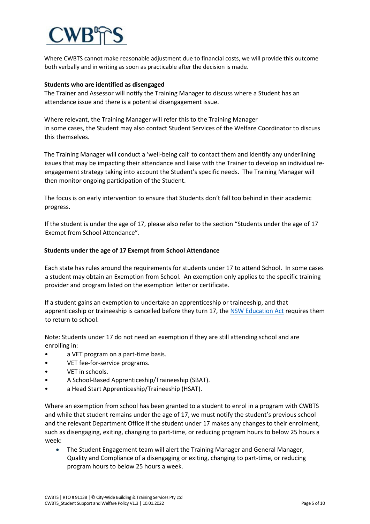

Where CWBTS cannot make reasonable adjustment due to financial costs, we will provide this outcome both verbally and in writing as soon as practicable after the decision is made.

#### **Students who are identified as disengaged**

The Trainer and Assessor will notify the Training Manager to discuss where a Student has an attendance issue and there is a potential disengagement issue.

Where relevant, the Training Manager will refer this to the Training Manager In some cases, the Student may also contact Student Services of the Welfare Coordinator to discuss this themselves.

The Training Manager will conduct a 'well-being call' to contact them and identify any underlining issues that may be impacting their attendance and liaise with the Trainer to develop an individual reengagement strategy taking into account the Student's specific needs. The Training Manager will then monitor ongoing participation of the Student.

The focus is on early intervention to ensure that Students don't fall too behind in their academic progress.

If the student is under the age of 17, please also refer to the section "Students under the age of 17 Exempt from School Attendance".

#### **Students under the age of 17 Exempt from School Attendance**

Each state has rules around the requirements for students under 17 to attend School. In some cases a student may obtain an Exemption from School. An exemption only applies to the specific training provider and program listed on the exemption letter or certificate.

If a student gains an exemption to undertake an apprenticeship or traineeship, and that apprenticeship or traineeship is cancelled before they turn 17, th[e NSW Education Act](https://legislation.nsw.gov.au/view/html/inforce/current/act-1990-008) requires them to return to school.

Note: Students under 17 do not need an exemption if they are still attending school and are enrolling in:

- a VET program on a part-time basis.
- VET fee-for-service programs.
- VET in schools.
- A School-Based Apprenticeship/Traineeship (SBAT).
- a Head Start Apprenticeship/Traineeship (HSAT).

Where an exemption from school has been granted to a student to enrol in a program with CWBTS and while that student remains under the age of 17, we must notify the student's previous school and the relevant Department Office if the student under 17 makes any changes to their enrolment, such as disengaging, exiting, changing to part-time, or reducing program hours to below 25 hours a week:

• The Student Engagement team will alert the Training Manager and General Manager, Quality and Compliance of a disengaging or exiting, changing to part-time, or reducing program hours to below 25 hours a week.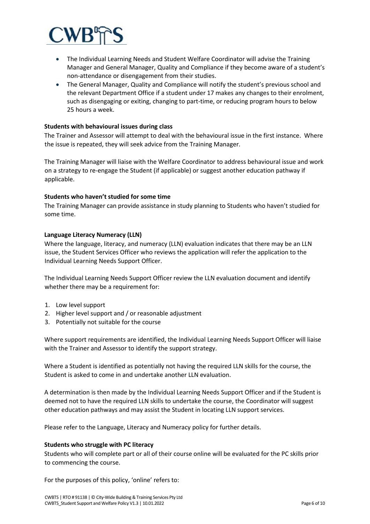

- The Individual Learning Needs and Student Welfare Coordinator will advise the Training Manager and General Manager, Quality and Compliance if they become aware of a student's non-attendance or disengagement from their studies.
- The General Manager, Quality and Compliance will notify the student's previous school and the relevant Department Office if a student under 17 makes any changes to their enrolment, such as disengaging or exiting, changing to part-time, or reducing program hours to below 25 hours a week.

### **Students with behavioural issues during class**

The Trainer and Assessor will attempt to deal with the behavioural issue in the first instance. Where the issue is repeated, they will seek advice from the Training Manager.

The Training Manager will liaise with the Welfare Coordinator to address behavioural issue and work on a strategy to re-engage the Student (if applicable) or suggest another education pathway if applicable.

#### **Students who haven't studied for some time**

The Training Manager can provide assistance in study planning to Students who haven't studied for some time.

#### **Language Literacy Numeracy (LLN)**

Where the language, literacy, and numeracy (LLN) evaluation indicates that there may be an LLN issue, the Student Services Officer who reviews the application will refer the application to the Individual Learning Needs Support Officer.

The Individual Learning Needs Support Officer review the LLN evaluation document and identify whether there may be a requirement for:

- 1. Low level support
- 2. Higher level support and / or reasonable adjustment
- 3. Potentially not suitable for the course

Where support requirements are identified, the Individual Learning Needs Support Officer will liaise with the Trainer and Assessor to identify the support strategy.

Where a Student is identified as potentially not having the required LLN skills for the course, the Student is asked to come in and undertake another LLN evaluation.

A determination is then made by the Individual Learning Needs Support Officer and if the Student is deemed not to have the required LLN skills to undertake the course, the Coordinator will suggest other education pathways and may assist the Student in locating LLN support services.

Please refer to the Language, Literacy and Numeracy policy for further details.

#### **Students who struggle with PC literacy**

Students who will complete part or all of their course online will be evaluated for the PC skills prior to commencing the course.

For the purposes of this policy, 'online' refers to: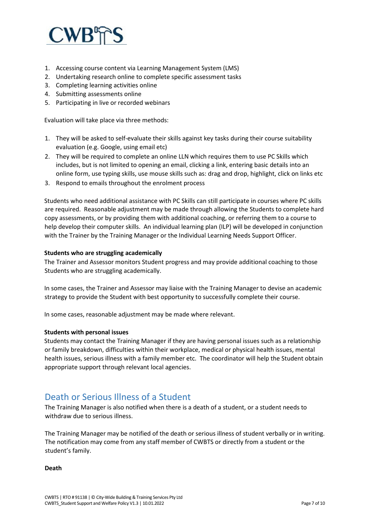

- 1. Accessing course content via Learning Management System (LMS)
- 2. Undertaking research online to complete specific assessment tasks
- 3. Completing learning activities online
- 4. Submitting assessments online
- 5. Participating in live or recorded webinars

Evaluation will take place via three methods:

- 1. They will be asked to self-evaluate their skills against key tasks during their course suitability evaluation (e.g. Google, using email etc)
- 2. They will be required to complete an online LLN which requires them to use PC Skills which includes, but is not limited to opening an email, clicking a link, entering basic details into an online form, use typing skills, use mouse skills such as: drag and drop, highlight, click on links etc
- 3. Respond to emails throughout the enrolment process

Students who need additional assistance with PC Skills can still participate in courses where PC skills are required. Reasonable adjustment may be made through allowing the Students to complete hard copy assessments, or by providing them with additional coaching, or referring them to a course to help develop their computer skills. An individual learning plan (ILP) will be developed in conjunction with the Trainer by the Training Manager or the Individual Learning Needs Support Officer.

### **Students who are struggling academically**

The Trainer and Assessor monitors Student progress and may provide additional coaching to those Students who are struggling academically.

In some cases, the Trainer and Assessor may liaise with the Training Manager to devise an academic strategy to provide the Student with best opportunity to successfully complete their course.

In some cases, reasonable adjustment may be made where relevant.

### **Students with personal issues**

Students may contact the Training Manager if they are having personal issues such as a relationship or family breakdown, difficulties within their workplace, medical or physical health issues, mental health issues, serious illness with a family member etc. The coordinator will help the Student obtain appropriate support through relevant local agencies.

# Death or Serious Illness of a Student

The Training Manager is also notified when there is a death of a student, or a student needs to withdraw due to serious illness.

The Training Manager may be notified of the death or serious illness of student verbally or in writing. The notification may come from any staff member of CWBTS or directly from a student or the student's family.

**Death**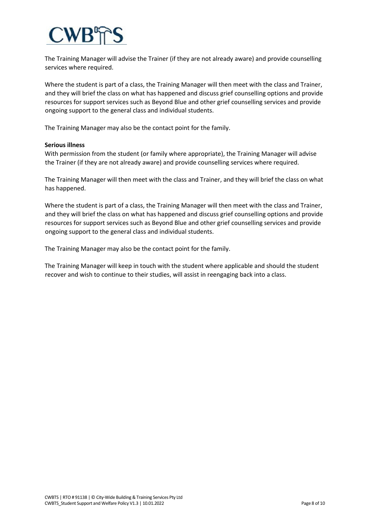The Training Manager will advise the Trainer (if they are not already aware) and provide counselling services where required.

Where the student is part of a class, the Training Manager will then meet with the class and Trainer, and they will brief the class on what has happened and discuss grief counselling options and provide resources for support services such as Beyond Blue and other grief counselling services and provide ongoing support to the general class and individual students.

The Training Manager may also be the contact point for the family.

### **Serious illness**

With permission from the student (or family where appropriate), the Training Manager will advise the Trainer (if they are not already aware) and provide counselling services where required.

The Training Manager will then meet with the class and Trainer, and they will brief the class on what has happened.

Where the student is part of a class, the Training Manager will then meet with the class and Trainer, and they will brief the class on what has happened and discuss grief counselling options and provide resources for support services such as Beyond Blue and other grief counselling services and provide ongoing support to the general class and individual students.

The Training Manager may also be the contact point for the family.

The Training Manager will keep in touch with the student where applicable and should the student recover and wish to continue to their studies, will assist in reengaging back into a class.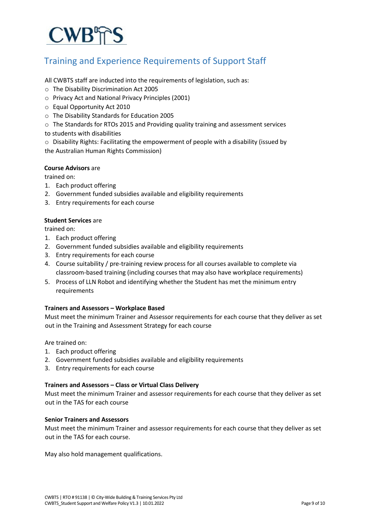# **CWB<sub>TS</sub>**

# Training and Experience Requirements of Support Staff

All CWBTS staff are inducted into the requirements of legislation, such as:

- o The Disability Discrimination Act 2005
- o Privacy Act and National Privacy Principles (2001)
- o Equal Opportunity Act 2010
- o The Disability Standards for Education 2005
- o The Standards for RTOs 2015 and Providing quality training and assessment services
- to students with disabilities
- o Disability Rights: Facilitating the empowerment of people with a disability (issued by the Australian Human Rights Commission)

### **Course Advisors** are

trained on:

- 1. Each product offering
- 2. Government funded subsidies available and eligibility requirements
- 3. Entry requirements for each course

### **Student Services** are

trained on:

- 1. Each product offering
- 2. Government funded subsidies available and eligibility requirements
- 3. Entry requirements for each course
- 4. Course suitability / pre-training review process for all courses available to complete via classroom-based training (including courses that may also have workplace requirements)
- 5. Process of LLN Robot and identifying whether the Student has met the minimum entry requirements

### **Trainers and Assessors – Workplace Based**

Must meet the minimum Trainer and Assessor requirements for each course that they deliver as set out in the Training and Assessment Strategy for each course

Are trained on:

- 1. Each product offering
- 2. Government funded subsidies available and eligibility requirements
- 3. Entry requirements for each course

### **Trainers and Assessors – Class or Virtual Class Delivery**

Must meet the minimum Trainer and assessor requirements for each course that they deliver as set out in the TAS for each course

## **Senior Trainers and Assessors**

Must meet the minimum Trainer and assessor requirements for each course that they deliver as set out in the TAS for each course.

May also hold management qualifications.